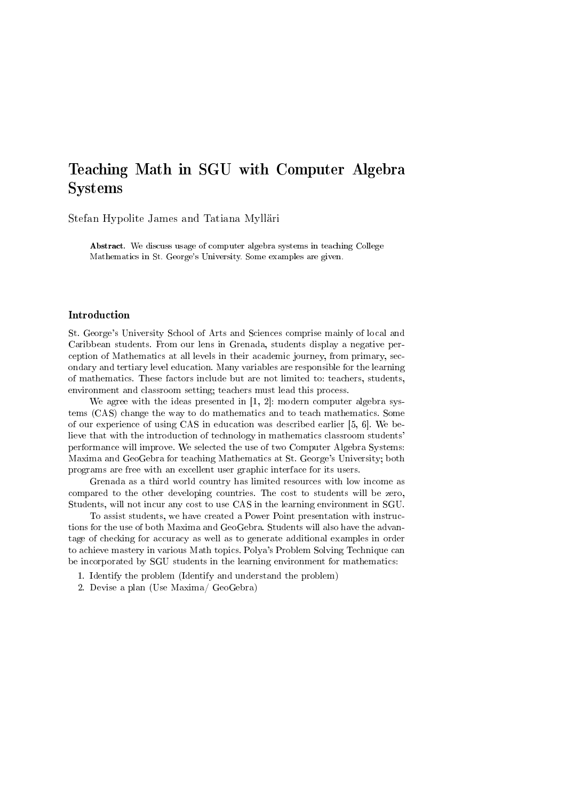# Teaching Math in SGU with Computer Algebra Systems

Stefan Hypolite James and Tatiana Mylläri

Abstract. We discuss usage of computer algebra systems in teaching College Mathematics in St. George's University. Some examples are given.

#### Introduction

St. George's University School of Arts and Sciences comprise mainly of local and Caribbean students. From our lens in Grenada, students display a negative perception of Mathematics at all levels in their academic journey, from primary, secondary and tertiary level education. Many variables are responsible for the learning of mathematics. These factors include but are not limited to: teachers, students, environment and classroom setting; teachers must lead this process.

We agree with the ideas presented in [1, 2]: modern computer algebra systems (CAS) change the way to do mathematics and to teach mathematics. Some of our experience of using CAS in education was described earlier [5, 6]. We believe that with the introduction of technology in mathematics classroom students' performance will improve. We selected the use of two Computer Algebra Systems: Maxima and GeoGebra for teaching Mathematics at St. George's University; both programs are free with an excellent user graphic interface for its users.

Grenada as a third world country has limited resources with low income as compared to the other developing countries. The cost to students will be zero, Students, will not incur any cost to use CAS in the learning environment in SGU.

To assist students, we have created a Power Point presentation with instructions for the use of both Maxima and GeoGebra. Students will also have the advantage of checking for accuracy as well as to generate additional examples in order to achieve mastery in various Math topics. Polya's Problem Solving Technique can be incorporated by SGU students in the learning environment for mathematics:

- 1. Identify the problem (Identify and understand the problem)
- 2. Devise a plan (Use Maxima/ GeoGebra)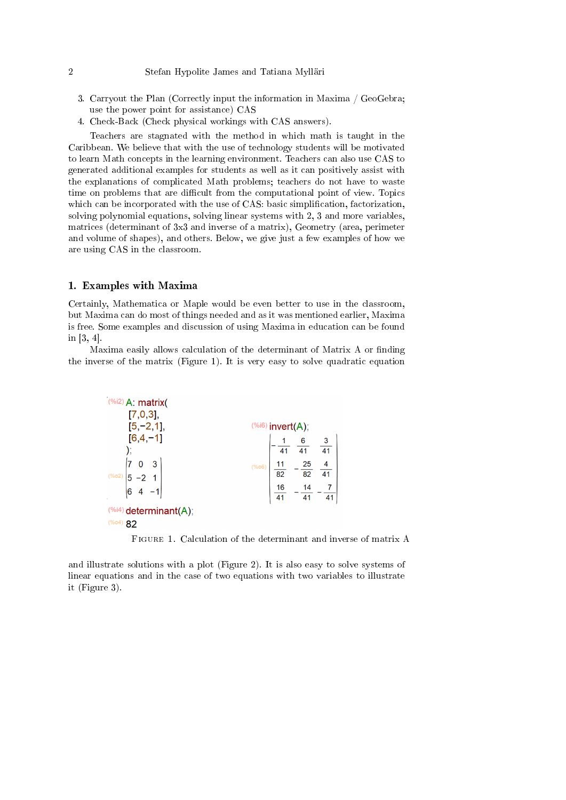- 3. Carryout the Plan (Correctly input the information in Maxima / GeoGebra; use the power point for assistance) CAS
- 4. Check-Back (Check physical workings with CAS answers).

Teachers are stagnated with the method in which math is taught in the Caribbean. We believe that with the use of technology students will be motivated to learn Math concepts in the learning environment. Teachers can also use CAS to generated additional examples for students as well as it can positively assist with the explanations of complicated Math problems; teachers do not have to waste time on problems that are difficult from the computational point of view. Topics which can be incorporated with the use of CAS: basic simplification, factorization, solving polynomial equations, solving linear systems with 2, 3 and more variables, matrices (determinant of 3x3 and inverse of a matrix), Geometry (area, perimeter and volume of shapes), and others. Below, we give just a few examples of how we are using CAS in the classroom.

#### 1. Examples with Maxima

Certainly, Mathematica or Maple would be even better to use in the classroom, but Maxima can do most of things needed and as it was mentioned earlier, Maxima is free. Some examples and discussion of using Maxima in education can be found in [3, 4].

Maxima easily allows calculation of the determinant of Matrix A or finding the inverse of the matrix (Figure 1). It is very easy to solve quadratic equation

| $(%)$ <sup>2</sup> ) A: matrix(<br>[7,0,3], |                      |                  |                |                 |  |
|---------------------------------------------|----------------------|------------------|----------------|-----------------|--|
| $[5, -2, 1]$ ,                              |                      | (%i6) invert(A); |                |                 |  |
| $[6, 4, -1]$                                |                      |                  | 6              |                 |  |
|                                             |                      | 41               | 41             | $\overline{41}$ |  |
|                                             | $(% )^{(1,0),(1,0)}$ |                  | $\frac{25}{1}$ |                 |  |
| $(% )^{(1,0),(2,0)}$                        |                      | $\overline{82}$  | 82             |                 |  |
| 6                                           |                      | 16               | $\frac{14}{1}$ |                 |  |
|                                             |                      | 41               | 41             | 41              |  |
| $(%i4)$ determinant(A);<br>(%o4)<br>82      |                      |                  |                |                 |  |

Figure 1. Calculation of the determinant and inverse of matrix A

and illustrate solutions with a plot (Figure 2). It is also easy to solve systems of linear equations and in the case of two equations with two variables to illustrate it (Figure 3).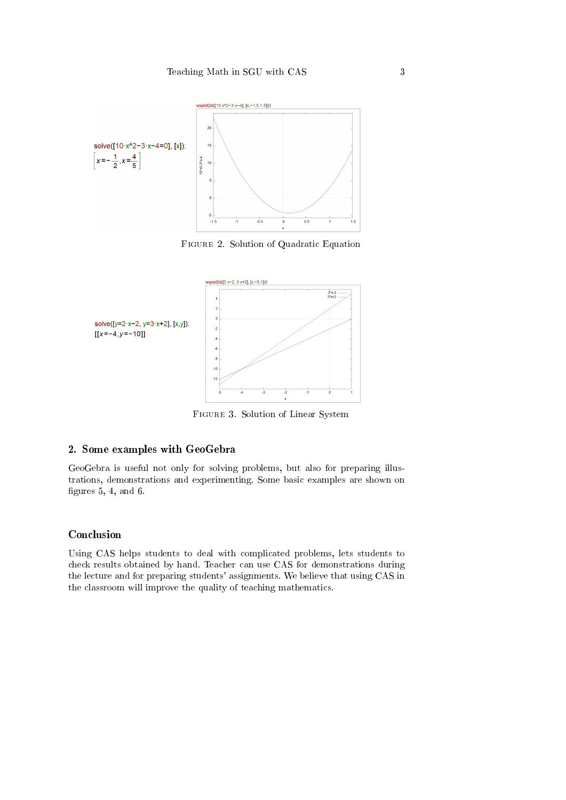

Figure 2. Solution of Quadratic Equation



Figure 3. Solution of Linear System

### 2. Some examples with GeoGebra

GeoGebra is useful not only for solving problems, but also for preparing illustrations, demonstrations and experimenting. Some basic examples are shown on figures  $5, 4,$  and  $6.$ 

# Conclusion

Using CAS helps students to deal with complicated problems, lets students to check results obtained by hand. Teacher can use CAS for demonstrations during the lecture and for preparing students' assignments. We believe that using CAS in the classroom will improve the quality of teaching mathematics.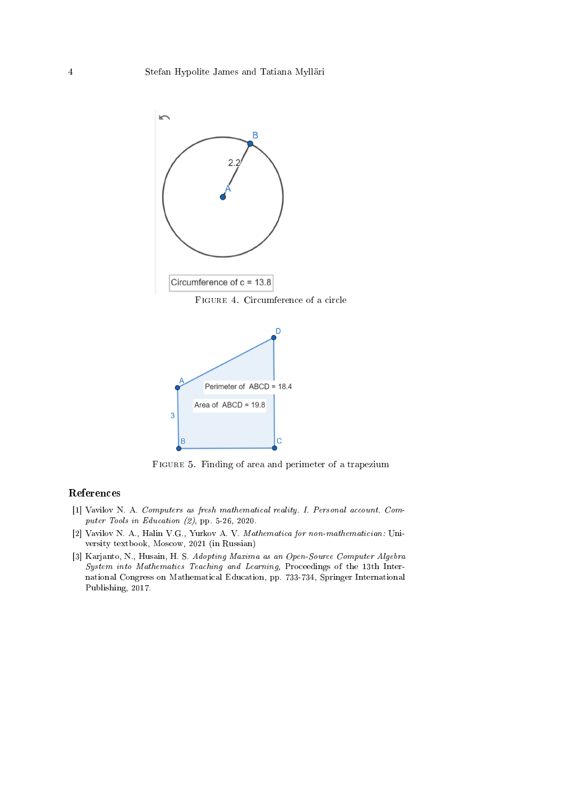

Figure 4. Circumference of a circle



FIGURE 5. Finding of area and perimeter of a trapezium

# References

- [1] Vavilov N. A. Computers as fresh mathematical reality. I. Personal account. Computer Tools in Education (2), pp. 5-26, 2020.
- [2] Vavilov N. A., Halin V.G., Yurkov A. V. Mathematica for non-mathematician: University textbook, Moscow, 2021 (in Russian)
- [3] Karjanto, N., Husain, H. S. Adopting Maxima as an Open-Source Computer Algebra System into Mathematics Teaching and Learning, Proceedings of the 13th International Congress on Mathematical Education, pp. 733-734, Springer International Publishing, 2017.